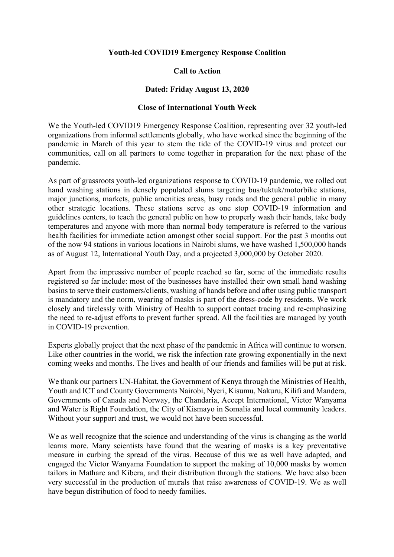## **Youth-led COVID19 Emergency Response Coalition**

## **Call to Action**

## **Dated: Friday August 13, 2020**

## **Close of International Youth Week**

We the Youth-led COVID19 Emergency Response Coalition, representing over 32 youth-led organizations from informal settlements globally, who have worked since the beginning of the pandemic in March of this year to stem the tide of the COVID-19 virus and protect our communities, call on all partners to come together in preparation for the next phase of the pandemic.

As part of grassroots youth-led organizations response to COVID-19 pandemic, we rolled out hand washing stations in densely populated slums targeting bus/tuktuk/motorbike stations, major junctions, markets, public amenities areas, busy roads and the general public in many other strategic locations. These stations serve as one stop COVID-19 information and guidelines centers, to teach the general public on how to properly wash their hands, take body temperatures and anyone with more than normal body temperature is referred to the various health facilities for immediate action amongst other social support. For the past 3 months out of the now 94 stations in various locations in Nairobi slums, we have washed 1,500,000 hands as of August 12, International Youth Day, and a projected 3,000,000 by October 2020.

Apart from the impressive number of people reached so far, some of the immediate results registered so far include: most of the businesses have installed their own small hand washing basins to serve their customers/clients, washing of hands before and after using public transport is mandatory and the norm, wearing of masks is part of the dress-code by residents. We work closely and tirelessly with Ministry of Health to support contact tracing and re-emphasizing the need to re-adjust efforts to prevent further spread. All the facilities are managed by youth in COVID-19 prevention.

Experts globally project that the next phase of the pandemic in Africa will continue to worsen. Like other countries in the world, we risk the infection rate growing exponentially in the next coming weeks and months. The lives and health of our friends and families will be put at risk.

We thank our partners UN-Habitat, the Government of Kenya through the Ministries of Health, Youth and ICT and County Governments Nairobi, Nyeri, Kisumu, Nakuru, Kilifi and Mandera, Governments of Canada and Norway, the Chandaria, Accept International, Victor Wanyama and Water is Right Foundation, the City of Kismayo in Somalia and local community leaders. Without your support and trust, we would not have been successful.

We as well recognize that the science and understanding of the virus is changing as the world learns more. Many scientists have found that the wearing of masks is a key preventative measure in curbing the spread of the virus. Because of this we as well have adapted, and engaged the Victor Wanyama Foundation to support the making of 10,000 masks by women tailors in Mathare and Kibera, and their distribution through the stations. We have also been very successful in the production of murals that raise awareness of COVID-19. We as well have begun distribution of food to needy families.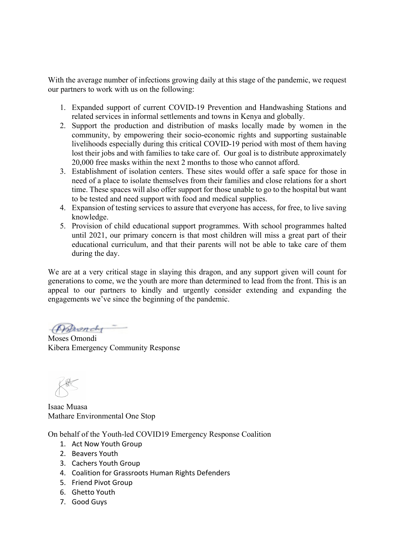With the average number of infections growing daily at this stage of the pandemic, we request our partners to work with us on the following:

- 1. Expanded support of current COVID-19 Prevention and Handwashing Stations and related services in informal settlements and towns in Kenya and globally.
- 2. Support the production and distribution of masks locally made by women in the community, by empowering their socio-economic rights and supporting sustainable livelihoods especially during this critical COVID-19 period with most of them having lost their jobs and with families to take care of. Our goal is to distribute approximately 20,000 free masks within the next 2 months to those who cannot afford.
- 3. Establishment of isolation centers. These sites would offer a safe space for those in need of a place to isolate themselves from their families and close relations for a short time. These spaces will also offer support for those unable to go to the hospital but want to be tested and need support with food and medical supplies.
- 4. Expansion of testing services to assure that everyone has access, for free, to live saving knowledge.
- 5. Provision of child educational support programmes. With school programmes halted until 2021, our primary concern is that most children will miss a great part of their educational curriculum, and that their parents will not be able to take care of them during the day.

We are at a very critical stage in slaying this dragon, and any support given will count for generations to come, we the youth are more than determined to lead from the front. This is an appeal to our partners to kindly and urgently consider extending and expanding the engagements we've since the beginning of the pandemic.

(Prevenchy

Moses Omondi Kibera Emergency Community Response

Isaac Muasa Mathare Environmental One Stop

On behalf of the Youth-led COVID19 Emergency Response Coalition

- 1. Act Now Youth Group
- 2. Beavers Youth
- 3. Cachers Youth Group
- 4. Coalition for Grassroots Human Rights Defenders
- 5. Friend Pivot Group
- 6. Ghetto Youth
- 7. Good Guys